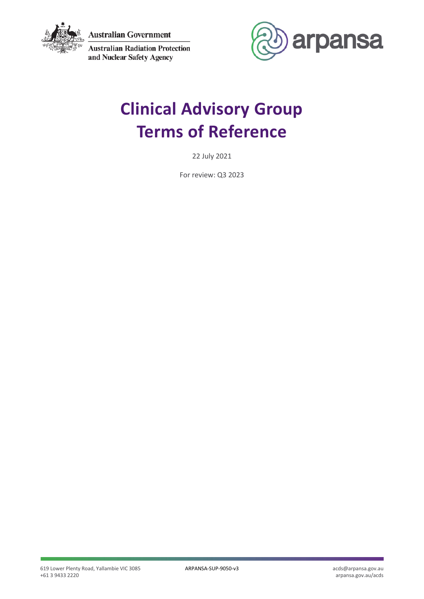

**Australian Government** 

**Australian Radiation Protection** and Nuclear Safety Agency



# **Clinical Advisory Group Terms of Reference**

22 July 2021

For review: Q3 2023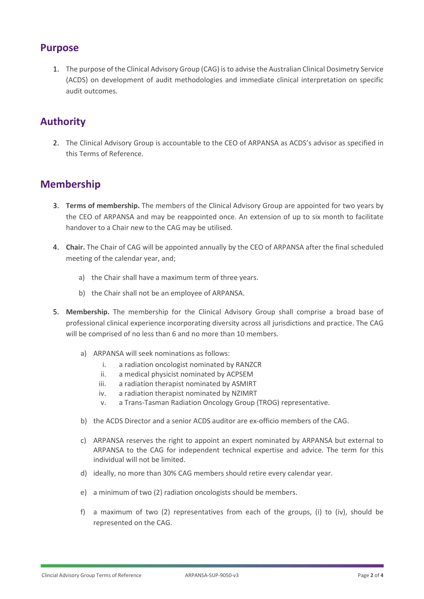#### **Purpose**

1. The purpose of the Clinical Advisory Group (CAG) is to advise the Australian Clinical Dosimetry Service (ACDS) on development of audit methodologies and immediate clinical interpretation on specific audit outcomes.

## **Authority**

2. The Clinical Advisory Group is accountable to the CEO of ARPANSA as ACDS's advisor as specified in this Terms of Reference.

### **Membership**

- 3. **Terms of membership.** The members of the Clinical Advisory Group are appointed for two years by the CEO of ARPANSA and may be reappointed once. An extension of up to six month to facilitate handover to a Chair new to the CAG may be utilised.
- 4. **Chair.** The Chair of CAG will be appointed annually by the CEO of ARPANSA after the final scheduled meeting of the calendar year, and;
	- a) the Chair shall have a maximum term of three years.
	- b) the Chair shall not be an employee of ARPANSA.
- 5. **Membership.** The membership for the Clinical Advisory Group shall comprise a broad base of professional clinical experience incorporating diversity across all jurisdictions and practice. The CAG will be comprised of no less than 6 and no more than 10 members.
	- a) ARPANSA will seek nominations as follows:
		- i. a radiation oncologist nominated by RANZCR
		- ii. a medical physicist nominated by ACPSEM
		- iii. a radiation therapist nominated by ASMIRT
		- iv. a radiation therapist nominated by NZIMRT
		- v. a Trans-Tasman Radiation Oncology Group (TROG) representative.
	- b) the ACDS Director and a senior ACDS auditor are ex-officio members of the CAG.
	- c) ARPANSA reserves the right to appoint an expert nominated by ARPANSA but external to ARPANSA to the CAG for independent technical expertise and advice. The term for this individual will not be limited.
	- d) ideally, no more than 30% CAG members should retire every calendar year.
	- e) a minimum of two (2) radiation oncologists should be members.
	- f) a maximum of two (2) representatives from each of the groups, (i) to (iv), should be represented on the CAG.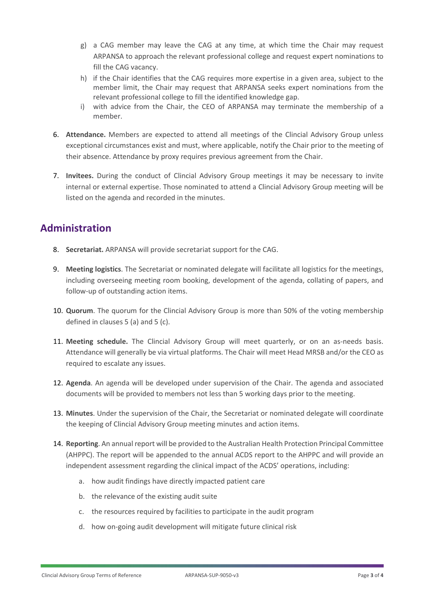- g) a CAG member may leave the CAG at any time, at which time the Chair may request ARPANSA to approach the relevant professional college and request expert nominations to fill the CAG vacancy.
- h) if the Chair identifies that the CAG requires more expertise in a given area, subject to the member limit, the Chair may request that ARPANSA seeks expert nominations from the relevant professional college to fill the identified knowledge gap.
- i) with advice from the Chair, the CEO of ARPANSA may terminate the membership of a member.
- 6. **Attendance.** Members are expected to attend all meetings of the Clincial Advisory Group unless exceptional circumstances exist and must, where applicable, notify the Chair prior to the meeting of their absence. Attendance by proxy requires previous agreement from the Chair.
- 7. **Invitees.** During the conduct of Clincial Advisory Group meetings it may be necessary to invite internal or external expertise. Those nominated to attend a Clincial Advisory Group meeting will be listed on the agenda and recorded in the minutes.

### **Administration**

- 8. **Secretariat.** ARPANSA will provide secretariat support for the CAG.
- 9. **Meeting logistics**. The Secretariat or nominated delegate will facilitate all logistics for the meetings, including overseeing meeting room booking, development of the agenda, collating of papers, and follow-up of outstanding action items.
- 10. **Quorum**. The quorum for the Clincial Advisory Group is more than 50% of the voting membership defined in clauses 5 (a) and 5 (c).
- 11. **Meeting schedule.** The Clincial Advisory Group will meet quarterly, or on an as-needs basis. Attendance will generally be via virtual platforms. The Chair will meet Head MRSB and/or the CEO as required to escalate any issues.
- 12. **Agenda**. An agenda will be developed under supervision of the Chair. The agenda and associated documents will be provided to members not less than 5 working days prior to the meeting.
- 13. **Minutes**. Under the supervision of the Chair, the Secretariat or nominated delegate will coordinate the keeping of Clincial Advisory Group meeting minutes and action items.
- 14. **Reporting**. An annual report will be provided to the Australian Health Protection Principal Committee (AHPPC). The report will be appended to the annual ACDS report to the AHPPC and will provide an independent assessment regarding the clinical impact of the ACDS' operations, including:
	- a. how audit findings have directly impacted patient care
	- b. the relevance of the existing audit suite
	- c. the resources required by facilities to participate in the audit program
	- d. how on-going audit development will mitigate future clinical risk